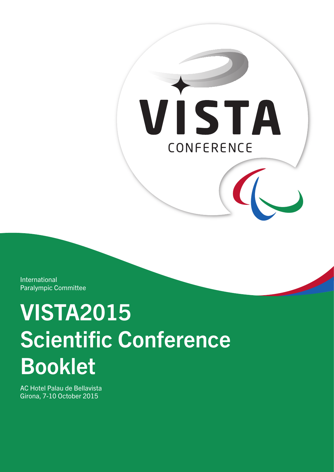VISTA CONFERENCE

International Paralympic Committee

# VISTA2015 **Scientific Conference** Booklet

AC Hotel Palau de Bellavista Girona, 7-10 October 2015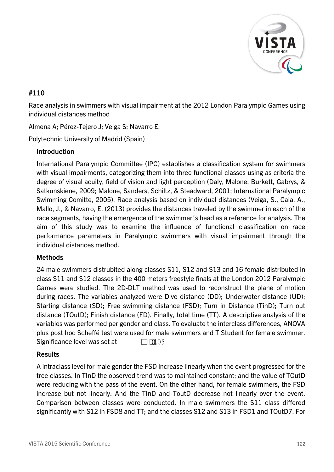

# #110

Race analysis in swimmers with visual impairment at the 2012 London Paralympic Games using individual distances method

Almena A; Pérez-Tejero J; Veiga S; Navarro E.

Polytechnic University of Madrid (Spain)

## Introduction

International Paralympic Committee (IPC) establishes a classification system for swimmers with visual impairments, categorizing them into three functional classes using as criteria the degree of visual acuity, field of vision and light perception (Daly, Malone, Burkett, Gabrys, & Satkunskiene, 2009; Malone, Sanders, Schiltz, & Steadward, 2001; International Paralympic Swimming Comitte, 2005). Race analysis based on individual distances (Veiga, S., Cala, A., Mallo, J., & Navarro, E. (2013) provides the distances traveled by the swimmer in each of the race segments, having the emergence of the swimmer´s head as a reference for analysis. The aim of this study was to examine the influence of functional classification on race performance parameters in Paralympic swimmers with visual impairment through the individual distances method.

## **Methods**

24 male swimmers distrubited along classes S11, S12 and S13 and 16 female distributed in class S11 and S12 classes in the 400 meters freestyle finals at the London 2012 Paralympic Games were studied. The 2D-DLT method was used to reconstruct the plane of motion during races. The variables analyzed were Dive distance (DD); Underwater distance (UD); Starting distance (SD); Free swimming distance (FSD); Turn in Distance (TinD); Turn out distance (TOutD); Finish distance (FD). Finally, total time (TT). A descriptive analysis of the variables was performed per gender and class. To evaluate the interclass differences, ANOVA plus post hoc Scheffé test were used for male swimmers and T Student for female swimmer. Significance level was set at  $\Box$   $\Box$   $\Box$  0.05.

## **Results**

A intraclass level for male gender the FSD increase linearly when the event progressed for the tree classes. In TInD the observed trend was to maintained constant; and the value of TOutD were reducing with the pass of the event. On the other hand, for female swimmers, the FSD increase but not linearly. And the TInD and ToutD decrease not linearly over the event. Comparison between classes were conducted. In male swimmers the S11 class differed significantly with S12 in FSD8 and TT; and the classes S12 and S13 in FSD1 and TOutD7. For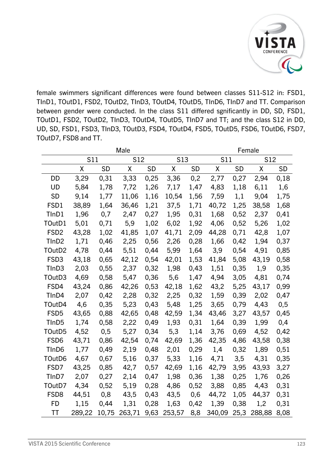

female swimmers significant differences were found between classes S11-S12 in: FSD1, TInD1, TOutD1, FSD2, TOutD2, TInD3, TOutD4, TOutD5, TInD6, TInD7 and TT. Comparison between gender were conducted. In the class S11 differed sgnificantly in DD, SD, FSD1, TOutD1, FSD2, TOutD2, TInD3, TOutD4, TOutD5, TInD7 and TT; and the class S12 in DD, UD, SD, FSD1, FSD3, TInD3, TOutD3, FSD4, TOutD4, FSD5, TOutD5, FSD6, TOutD6, FSD7, TOutD7, FSD8 and TT.

|                    | Male       |           |            |      |            |           |            | Female |        |           |  |
|--------------------|------------|-----------|------------|------|------------|-----------|------------|--------|--------|-----------|--|
|                    | <b>S11</b> |           | <b>S12</b> |      | <b>S13</b> |           | <b>S11</b> |        | S12    |           |  |
|                    | $\sf X$    | <b>SD</b> | X          | SD   | χ          | <b>SD</b> | X          | SD     | χ      | <b>SD</b> |  |
| DD                 | 3,29       | 0,31      | 3,33       | 0,25 | 3,36       | 0,2       | 2,77       | 0,27   | 2,94   | 0,18      |  |
| UD                 | 5,84       | 1,78      | 7,72       | 1,26 | 7,17       | 1,47      | 4,83       | 1,18   | 6,11   | 1,6       |  |
| <b>SD</b>          | 9,14       | 1,77      | 11,06      | 1,16 | 10,54      | 1,56      | 7,59       | 1,1    | 9,04   | 1,75      |  |
| FSD1               | 38,89      | 1,64      | 36,46      | 1,21 | 37,5       | 1,71      | 40,72      | 1,25   | 38,58  | 1,68      |  |
| TInD1              | 1,96       | 0,7       | 2,47       | 0,27 | 1,95       | 0,31      | 1,68       | 0,52   | 2,37   | 0,41      |  |
| TOutD1             | 5,01       | 0,71      | 5,9        | 1,02 | 6,02       | 1,92      | 4,06       | 0,52   | 5,26   | 1,02      |  |
| FSD <sub>2</sub>   | 43,28      | 1,02      | 41,85      | 1,07 | 41,71      | 2,09      | 44,28      | 0,71   | 42,8   | 1,07      |  |
| TInD <sub>2</sub>  | 1,71       | 0,46      | 2,25       | 0,56 | 2,26       | 0,28      | 1,66       | 0,42   | 1,94   | 0,37      |  |
| TOutD2             | 4,78       | 0,44      | 5,51       | 0,44 | 5,99       | 1,64      | 3,9        | 0,54   | 4,91   | 0,85      |  |
| FSD <sub>3</sub>   | 43,18      | 0,65      | 42,12      | 0,54 | 42,01      | 1,53      | 41,84      | 5,08   | 43,19  | 0,58      |  |
| TInD3              | 2,03       | 0,55      | 2,37       | 0,32 | 1,98       | 0,43      | 1,51       | 0,35   | 1,9    | 0,35      |  |
| TOutD3             | 4,69       | 0,58      | 5,47       | 0,36 | 5,6        | 1,47      | 4,94       | 3,05   | 4,81   | 0,74      |  |
| FSD4               | 43,24      | 0,86      | 42,26      | 0,53 | 42,18      | 1,62      | 43,2       | 5,25   | 43,17  | 0,99      |  |
| TInD4              | 2,07       | 0,42      | 2,28       | 0,32 | 2,25       | 0,32      | 1,59       | 0,39   | 2,02   | 0,47      |  |
| TOutD4             | 4,6        | 0,35      | 5,23       | 0,43 | 5,48       | 1,25      | 3,65       | 0,79   | 4,43   | 0,5       |  |
| FSD <sub>5</sub>   | 43,65      | 0,88      | 42,65      | 0,48 | 42,59      | 1,34      | 43,46      | 3,27   | 43,57  | 0,45      |  |
| TInD <sub>5</sub>  | 1,74       | 0,58      | 2,22       | 0,49 | 1,93       | 0,31      | 1,64       | 0,39   | 1,99   | 0,4       |  |
| TOutD <sub>5</sub> | 4,52       | 0,5       | 5,27       | 0,34 | 5,3        | 1,14      | 3,76       | 0,69   | 4,52   | 0,42      |  |
| FSD <sub>6</sub>   | 43,71      | 0,86      | 42,54      | 0,74 | 42,69      | 1,36      | 42,35      | 4,86   | 43,58  | 0,38      |  |
| TInD <sub>6</sub>  | 1,77       | 0,49      | 2,19       | 0,48 | 2,01       | 0,29      | 1,4        | 0,32   | 1,89   | 0,51      |  |
| TOutD6             | 4,67       | 0,67      | 5,16       | 0,37 | 5,33       | 1,16      | 4,71       | 3,5    | 4,31   | 0,35      |  |
| FSD7               | 43,25      | 0,85      | 42,7       | 0,57 | 42,69      | 1,16      | 42,79      | 3,95   | 43,93  | 3,27      |  |
| TInD7              | 2,07       | 0,27      | 2,14       | 0,47 | 1,98       | 0,36      | 1,38       | 0,25   | 1,76   | 0,26      |  |
| TOutD7             | 4,34       | 0,52      | 5,19       | 0,28 | 4,86       | 0,52      | 3,88       | 0,85   | 4,43   | 0,31      |  |
| FSD <sub>8</sub>   | 44,51      | 0,8       | 43,5       | 0,43 | 43,5       | 0,6       | 44,72      | 1,05   | 44,37  | 0,31      |  |
| <b>FD</b>          | 1,15       | 0,44      | 1,31       | 0,28 | 1,63       | 0,42      | 1,39       | 0,38   | 1,2    | 0,31      |  |
| TT                 | 289,22     | 10,75     | 263,71     | 9,63 | 253,57     | 8,8       | 340,09     | 25,3   | 288,88 | 8,08      |  |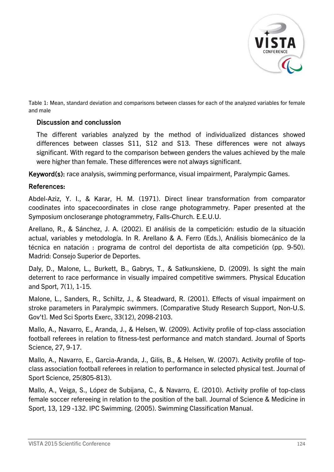

Table 1: Mean, standard deviation and comparisons between classes for each of the analyzed variables for female and male

#### Discussion and conclussion

The different variables analyzed by the method of individualized distances showed differences between classes S11, S12 and S13. These differences were not always significant. With regard to the comparison between genders the values achieved by the male were higher than female. These differences were not always significant.

Keyword(s): race analysis, swimming performance, visual impairment, Paralympic Games.

#### References:

Abdel-Aziz, Y. I., & Karar, H. M. (1971). Direct linear transformation from comparator coodinates into spacecoordinates in close range photogrammetry. Paper presented at the Symposium oncloserange photogrammetry, Falls-Church. E.E.U.U.

Arellano, R., & Sánchez, J. A. (2002). El análisis de la competición: estudio de la situación actual, variables y metodología. In R. Arellano & A. Ferro (Eds.), Análisis biomecánico de la técnica en natación : programa de control del deportista de alta competición (pp. 9-50). Madrid: Consejo Superior de Deportes.

Daly, D., Malone, L., Burkett, B., Gabrys, T., & Satkunskiene, D. (2009). Is sight the main deterrent to race performance in visually impaired competitive swimmers. Physical Education and Sport, 7(1), 1-15.

Malone, L., Sanders, R., Schiltz, J., & Steadward, R. (2001). Effects of visual impairment on stroke parameters in Paralympic swimmers. [Comparative Study Research Support, Non-U.S. Gov't]. Med Sci Sports Exerc, 33(12), 2098-2103.

Mallo, A., Navarro, E., Aranda, J., & Helsen, W. (2009). Activity profile of top-class association football referees in relation to fitness-test performance and match standard. Journal of Sports Science, 27, 9-17.

Mallo, A., Navarro, E., Garcia-Aranda, J., Gilis, B., & Helsen, W. (2007). Activity profile of topclass association football referees in relation to performance in selected physical test. Journal of Sport Science, 25(805-813).

Mallo, A., Veiga, S., López de Subijana, C., & Navarro, E. (2010). Activity profile of top-class female soccer refereeing in relation to the position of the ball. Journal of Science & Medicine in Sport, 13, 129 -132. IPC Swimming. (2005). Swimming Classification Manual.